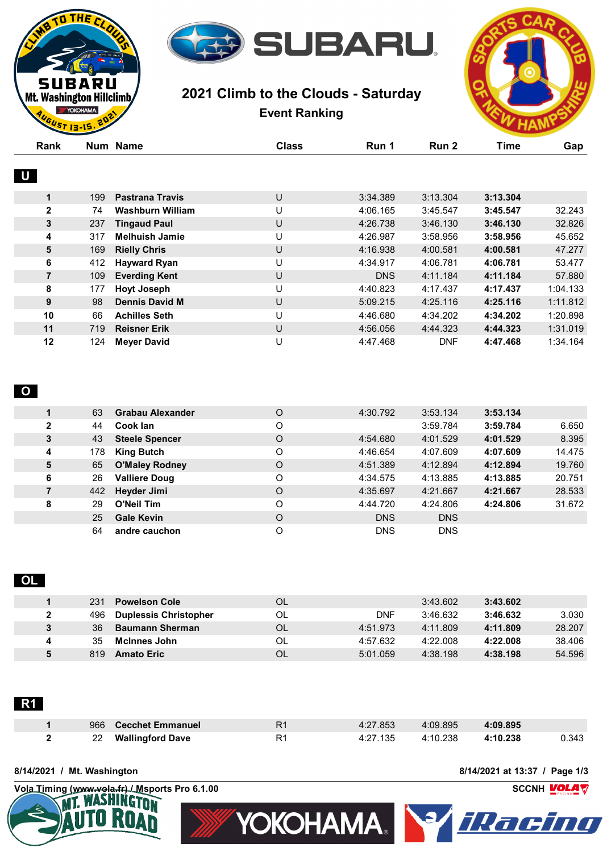

# **2021 Climb to the Clouds - Saturday Event Ranking**



| Rank           |     | Num Name                | <b>Class</b> | Run 1      | Run 2      | <b>Time</b> | Gap      |
|----------------|-----|-------------------------|--------------|------------|------------|-------------|----------|
|                |     |                         |              |            |            |             |          |
| $\bigcup$      |     |                         |              |            |            |             |          |
| 1              | 199 | <b>Pastrana Travis</b>  | U            | 3:34.389   | 3:13.304   | 3:13.304    |          |
| $\mathbf{2}$   | 74  | <b>Washburn William</b> | U            | 4:06.165   | 3:45.547   | 3:45.547    | 32.243   |
| 3              | 237 | <b>Tingaud Paul</b>     | U            | 4:26.738   | 3:46.130   | 3:46.130    | 32.826   |
| 4              | 317 | <b>Melhuish Jamie</b>   | U            | 4:26.987   | 3:58.956   | 3:58.956    | 45.652   |
| 5              | 169 | <b>Rielly Chris</b>     | U            | 4:16.938   | 4:00.581   | 4:00.581    | 47.277   |
| 6              | 412 | <b>Hayward Ryan</b>     | U            | 4:34.917   | 4:06.781   | 4:06.781    | 53.477   |
| $\overline{7}$ | 109 | <b>Everding Kent</b>    | U            | <b>DNS</b> | 4:11.184   | 4:11.184    | 57.880   |
| 8              | 177 | <b>Hoyt Joseph</b>      | U            | 4:40.823   | 4:17.437   | 4:17.437    | 1:04.133 |
| 9              | 98  | <b>Dennis David M</b>   | U            | 5:09.215   | 4:25.116   | 4:25.116    | 1:11.812 |
| 10             | 66  | <b>Achilles Seth</b>    | U            | 4:46.680   | 4:34.202   | 4:34.202    | 1:20.898 |
| 11             | 719 | <b>Reisner Erik</b>     | U            | 4:56.056   | 4:44.323   | 4:44.323    | 1:31.019 |
| 12             | 124 | <b>Meyer David</b>      | U            | 4:47.468   | <b>DNF</b> | 4:47.468    | 1:34.164 |

### **O**

**D THE CL** 

SUBARU Mt. Washington Hillclimb YOKOHAMA. UST 13-15.

| 63                    | <b>Grabau Alexander</b> | O | 4:30.792   | 3:53.134   | 3:53.134 |        |
|-----------------------|-------------------------|---|------------|------------|----------|--------|
| 2<br>44               | Cook lan                | O |            | 3:59.784   | 3:59.784 | 6.650  |
| 3<br>43               | <b>Steele Spencer</b>   | O | 4:54.680   | 4:01.529   | 4:01.529 | 8.395  |
| 178<br>4              | <b>King Butch</b>       | O | 4:46.654   | 4:07.609   | 4:07.609 | 14.475 |
| 5<br>65               | <b>O'Maley Rodney</b>   | O | 4:51.389   | 4:12.894   | 4:12.894 | 19.760 |
| 6<br>26               | <b>Valliere Doug</b>    | O | 4:34.575   | 4:13.885   | 4:13.885 | 20.751 |
| $\overline{7}$<br>442 | Heyder Jimi             | O | 4:35.697   | 4:21.667   | 4:21.667 | 28.533 |
| 8<br>29               | <b>O'Neil Tim</b>       | O | 4:44.720   | 4:24.806   | 4:24.806 | 31.672 |
| 25                    | <b>Gale Kevin</b>       | O | <b>DNS</b> | <b>DNS</b> |          |        |
| 64                    | andre cauchon           | O | <b>DNS</b> | <b>DNS</b> |          |        |
|                       |                         |   |            |            |          |        |

## **OL**

| 231  | <b>Powelson Cole</b>         | OL  |            | 3:43.602 | 3:43.602 |        |
|------|------------------------------|-----|------------|----------|----------|--------|
| 496  | <b>Duplessis Christopher</b> | OL. | <b>DNF</b> | 3:46.632 | 3:46.632 | 3.030  |
| 36   | <b>Baumann Sherman</b>       | OL. | 4:51.973   | 4:11.809 | 4:11.809 | 28.207 |
| 35   | <b>McInnes John</b>          | OL. | 4:57.632   | 4:22.008 | 4:22.008 | 38.406 |
| 819. | <b>Amato Eric</b>            | OL  | 5:01.059   | 4:38.198 | 4:38.198 | 54.596 |

|--|

|  | 966 Cecchet Emmanuel | R <sub>1</sub> | 4:27.853 | 4:09.895 | 4:09.895 |       |
|--|----------------------|----------------|----------|----------|----------|-------|
|  | 22 Wallingford Dave  | R <sup>1</sup> | 4:27.135 | 4:10.238 | 4:10.238 | 0.343 |

#### **8/14/2021 / Mt. Washington 8/14/2021 at 13:37 / Page 1/3**



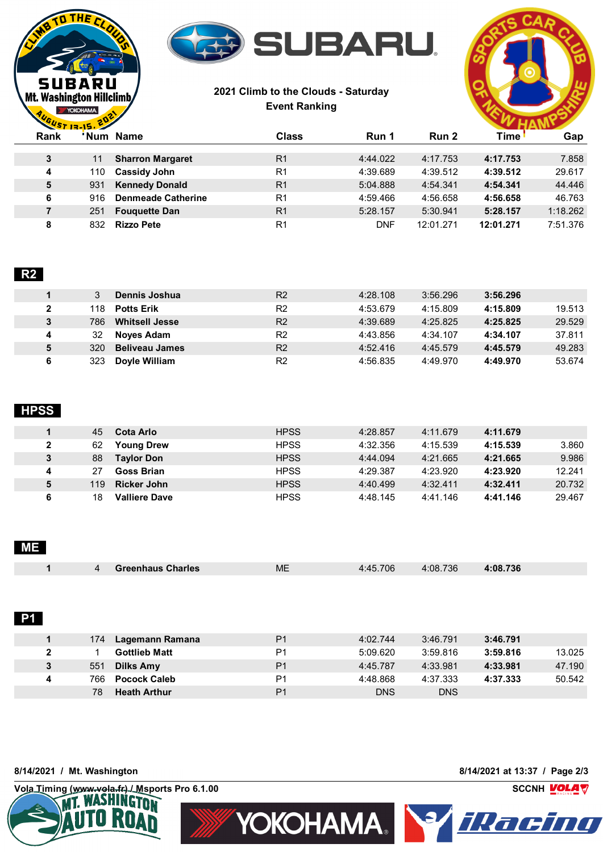

## **2021 Climb to the Clouds - Saturday Event Ranking**



| <b>Time</b><br>Rank<br>' Num<br>Name<br><b>Class</b><br>Run 2<br>Run 1<br>R <sub>1</sub><br>4:44.022<br>4:17.753<br>3<br><b>Sharron Margaret</b><br>4:17.753<br>11<br>R <sub>1</sub><br><b>Cassidy John</b><br>4:39.689<br>4:39.512<br>4:39.512<br>4<br>110<br>5<br>R <sub>1</sub><br>4:54.341<br>4:54.341<br><b>Kennedy Donald</b><br>5:04.888<br>931<br>R <sub>1</sub><br>6<br>4:59.466<br>4:56.658<br><b>Denmeade Catherine</b><br>4:56.658<br>916<br>7<br>R <sub>1</sub><br>5:30.941<br>5:28.157<br><b>Fouguette Dan</b><br>5:28.157<br>251<br>R <sub>1</sub><br>DNF<br>12:01.271<br>8<br>12:01.271<br><b>Rizzo Pete</b><br>832 | $\sim$ $\sim$ $\sim$ |  |  |  |  |          |  |
|-------------------------------------------------------------------------------------------------------------------------------------------------------------------------------------------------------------------------------------------------------------------------------------------------------------------------------------------------------------------------------------------------------------------------------------------------------------------------------------------------------------------------------------------------------------------------------------------------------------------------------------|----------------------|--|--|--|--|----------|--|
|                                                                                                                                                                                                                                                                                                                                                                                                                                                                                                                                                                                                                                     |                      |  |  |  |  | Gap      |  |
|                                                                                                                                                                                                                                                                                                                                                                                                                                                                                                                                                                                                                                     |                      |  |  |  |  | 7.858    |  |
|                                                                                                                                                                                                                                                                                                                                                                                                                                                                                                                                                                                                                                     |                      |  |  |  |  | 29.617   |  |
|                                                                                                                                                                                                                                                                                                                                                                                                                                                                                                                                                                                                                                     |                      |  |  |  |  | 44.446   |  |
|                                                                                                                                                                                                                                                                                                                                                                                                                                                                                                                                                                                                                                     |                      |  |  |  |  | 46.763   |  |
|                                                                                                                                                                                                                                                                                                                                                                                                                                                                                                                                                                                                                                     |                      |  |  |  |  | 1:18.262 |  |
|                                                                                                                                                                                                                                                                                                                                                                                                                                                                                                                                                                                                                                     |                      |  |  |  |  | 7:51.376 |  |

# **R2**

THE<sub>I</sub>

**SUBARU Mt. Washington Hillclimb** YOKOHAMA.

|   |     | Dennis Joshua         | R <sub>2</sub> | 4:28.108 | 3:56.296 | 3:56.296 |        |
|---|-----|-----------------------|----------------|----------|----------|----------|--------|
| 2 | 118 | <b>Potts Erik</b>     | R <sub>2</sub> | 4:53.679 | 4:15.809 | 4:15.809 | 19.513 |
| 3 | 786 | <b>Whitsell Jesse</b> | R <sub>2</sub> | 4:39.689 | 4:25.825 | 4:25.825 | 29.529 |
| 4 | 32  | Noves Adam            | R <sub>2</sub> | 4:43.856 | 4:34.107 | 4:34.107 | 37.811 |
| 5 | 320 | <b>Beliveau James</b> | R <sub>2</sub> | 4:52.416 | 4:45.579 | 4:45.579 | 49.283 |
| 6 | 323 | Doyle William         | R <sub>2</sub> | 4:56.835 | 4:49.970 | 4:49.970 | 53.674 |

## **HPSS**

|              | Cota Arlo<br>45            | <b>HPSS</b> | 4:28.857 | 4:11.679 | 4:11.679 |        |
|--------------|----------------------------|-------------|----------|----------|----------|--------|
| $\mathbf{2}$ | 62<br><b>Young Drew</b>    | <b>HPSS</b> | 4:32.356 | 4:15.539 | 4:15.539 | 3.860  |
| 3            | 88<br><b>Taylor Don</b>    | <b>HPSS</b> | 4:44.094 | 4:21.665 | 4:21.665 | 9.986  |
| 4            | 27<br><b>Goss Brian</b>    | <b>HPSS</b> | 4:29.387 | 4:23.920 | 4:23.920 | 12.241 |
| 5            | <b>Ricker John</b><br>119  | <b>HPSS</b> | 4:40.499 | 4:32.411 | 4:32.411 | 20.732 |
| 6            | 18<br><b>Valliere Dave</b> | <b>HPSS</b> | 4:48.145 | 4:41.146 | 4:41.146 | 29.467 |

### **ME**

|  | 4 Greenhaus Charles | <b>ME</b> | 4:45.706 | 4:08.736 | 4:08.736 |
|--|---------------------|-----------|----------|----------|----------|
|  |                     |           |          |          |          |
|  |                     |           |          |          |          |

#### **P1**

|   | 174. | Lagemann Ramana      | P <sub>1</sub> | 4:02.744   | 3:46.791   | 3:46.791 |        |
|---|------|----------------------|----------------|------------|------------|----------|--------|
|   |      | <b>Gottlieb Matt</b> | P <sub>1</sub> | 5:09.620   | 3:59.816   | 3:59.816 | 13.025 |
| 3 | 551  | Dilks Amy            | P <sub>1</sub> | 4:45.787   | 4:33.981   | 4:33.981 | 47.190 |
| 4 | 766  | <b>Pocock Caleb</b>  | P <sub>1</sub> | 4:48.868   | 4:37.333   | 4:37.333 | 50.542 |
|   | 78   | <b>Heath Arthur</b>  | P <sub>1</sub> | <b>DNS</b> | <b>DNS</b> |          |        |

#### **8/14/2021 / Mt. Washington 8/14/2021 at 13:37 / Page 2/3**

**Vola Timing (www.vola.fr) / Msports Pro 6.1.00 SCCNH**<br> **WI. WASHINGTON**